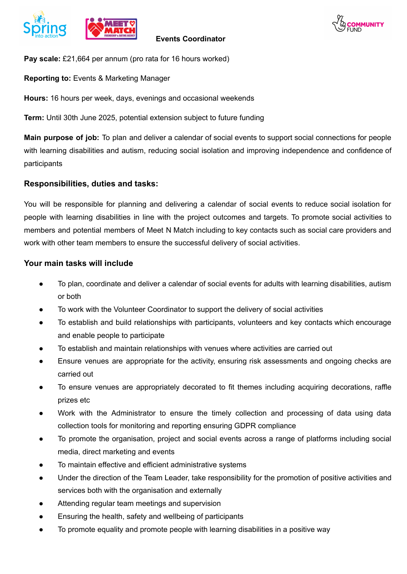



**Pay scale:** £21,664 per annum (pro rata for 16 hours worked)

**Reporting to:** Events & Marketing Manager

**Hours:** 16 hours per week, days, evenings and occasional weekends

**Term:** Until 30th June 2025, potential extension subject to future funding

**Main purpose of job:** To plan and deliver a calendar of social events to support social connections for people with learning disabilities and autism, reducing social isolation and improving independence and confidence of participants

## **Responsibilities, duties and tasks:**

You will be responsible for planning and delivering a calendar of social events to reduce social isolation for people with learning disabilities in line with the project outcomes and targets. To promote social activities to members and potential members of Meet N Match including to key contacts such as social care providers and work with other team members to ensure the successful delivery of social activities.

## **Your main tasks will include**

- To plan, coordinate and deliver a calendar of social events for adults with learning disabilities, autism or both
- To work with the Volunteer Coordinator to support the delivery of social activities
- To establish and build relationships with participants, volunteers and key contacts which encourage and enable people to participate
- To establish and maintain relationships with venues where activities are carried out
- Ensure venues are appropriate for the activity, ensuring risk assessments and ongoing checks are carried out
- To ensure venues are appropriately decorated to fit themes including acquiring decorations, raffle prizes etc
- Work with the Administrator to ensure the timely collection and processing of data using data collection tools for monitoring and reporting ensuring GDPR compliance
- To promote the organisation, project and social events across a range of platforms including social media, direct marketing and events
- To maintain effective and efficient administrative systems
- Under the direction of the Team Leader, take responsibility for the promotion of positive activities and services both with the organisation and externally
- Attending regular team meetings and supervision
- Ensuring the health, safety and wellbeing of participants
- To promote equality and promote people with learning disabilities in a positive way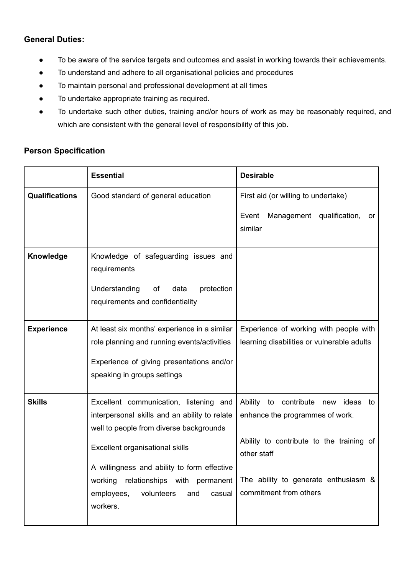## **General Duties:**

- To be aware of the service targets and outcomes and assist in working towards their achievements.
- To understand and adhere to all organisational policies and procedures
- To maintain personal and professional development at all times
- To undertake appropriate training as required.
- To undertake such other duties, training and/or hours of work as may be reasonably required, and which are consistent with the general level of responsibility of this job.

## **Person Specification**

|                       | <b>Essential</b>                                                                                                                                                                                                                                                                                                        | <b>Desirable</b>                                                                                                                                                                                               |
|-----------------------|-------------------------------------------------------------------------------------------------------------------------------------------------------------------------------------------------------------------------------------------------------------------------------------------------------------------------|----------------------------------------------------------------------------------------------------------------------------------------------------------------------------------------------------------------|
| <b>Qualifications</b> | Good standard of general education                                                                                                                                                                                                                                                                                      | First aid (or willing to undertake)<br>Management qualification,<br>Event<br>or<br>similar                                                                                                                     |
| Knowledge             | Knowledge of safeguarding issues and<br>requirements<br>Understanding<br>protection<br>of<br>data<br>requirements and confidentiality                                                                                                                                                                                   |                                                                                                                                                                                                                |
| <b>Experience</b>     | At least six months' experience in a similar<br>role planning and running events/activities<br>Experience of giving presentations and/or<br>speaking in groups settings                                                                                                                                                 | Experience of working with people with<br>learning disabilities or vulnerable adults                                                                                                                           |
| <b>Skills</b>         | Excellent communication, listening and<br>interpersonal skills and an ability to relate<br>well to people from diverse backgrounds<br>Excellent organisational skills<br>A willingness and ability to form effective<br>working relationships with permanent  <br>volunteers<br>employees,<br>and<br>casual<br>workers. | Ability to<br>contribute<br>ideas<br>new<br>to<br>enhance the programmes of work.<br>Ability to contribute to the training of<br>other staff<br>The ability to generate enthusiasm &<br>commitment from others |